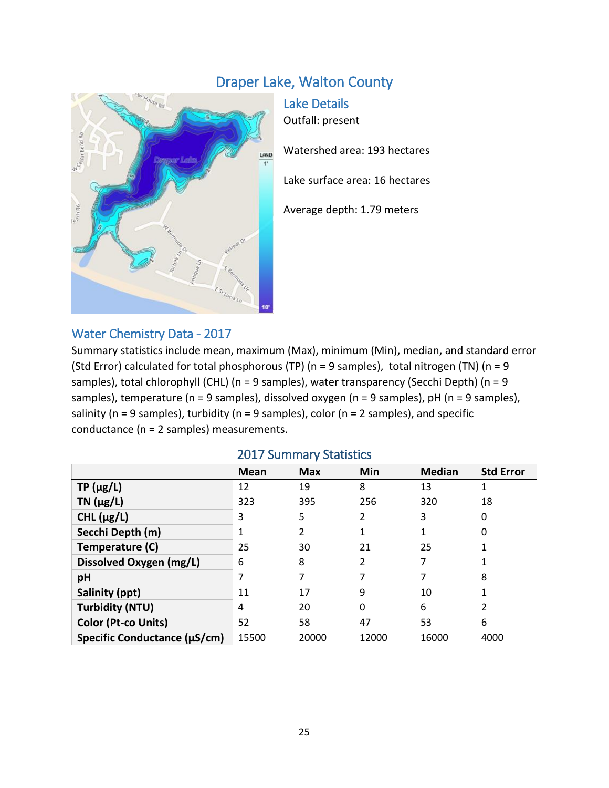# Draper Lake, Walton County



Lake Details Outfall: present Watershed area: 193 hectares Lake surface area: 16 hectares Average depth: 1.79 meters

#### Water Chemistry Data - 2017

Summary statistics include mean, maximum (Max), minimum (Min), median, and standard error (Std Error) calculated for total phosphorous (TP) ( $n = 9$  samples), total nitrogen (TN) ( $n = 9$ samples), total chlorophyll (CHL) (n = 9 samples), water transparency (Secchi Depth) (n = 9 samples), temperature (n = 9 samples), dissolved oxygen (n = 9 samples), pH (n = 9 samples), salinity ( $n = 9$  samples), turbidity ( $n = 9$  samples), color ( $n = 2$  samples), and specific conductance (n = 2 samples) measurements.

|                              | <b>Mean</b> | <b>Max</b> | Min   | <b>Median</b> | <b>Std Error</b> |
|------------------------------|-------------|------------|-------|---------------|------------------|
| $TP(\mu g/L)$                | 12          | 19         | 8     | 13            |                  |
| $TN$ ( $\mu$ g/L)            | 323         | 395        | 256   | 320           | 18               |
| CHL $(\mu g/L)$              | 3           | 5          | 2     | 3             | 0                |
| Secchi Depth (m)             |             |            |       |               | 0                |
| Temperature (C)              | 25          | 30         | 21    | 25            |                  |
| Dissolved Oxygen (mg/L)      | 6           | 8          | 2     |               |                  |
| pH                           |             |            | 7     |               | 8                |
| Salinity (ppt)               | 11          | 17         | 9     | 10            |                  |
| <b>Turbidity (NTU)</b>       | 4           | 20         | 0     | 6             | 2                |
| <b>Color (Pt-co Units)</b>   | 52          | 58         | 47    | 53            | 6                |
| Specific Conductance (µS/cm) | 15500       | 20000      | 12000 | 16000         | 4000             |

#### 2017 Summary Statistics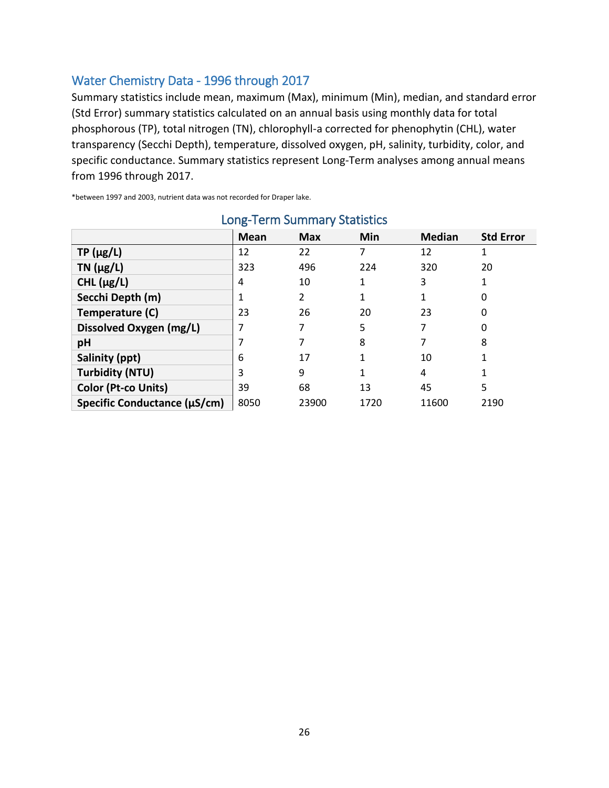## Water Chemistry Data - 1996 through 2017

Summary statistics include mean, maximum (Max), minimum (Min), median, and standard error (Std Error) summary statistics calculated on an annual basis using monthly data for total phosphorous (TP), total nitrogen (TN), chlorophyll-a corrected for phenophytin (CHL), water transparency (Secchi Depth), temperature, dissolved oxygen, pH, salinity, turbidity, color, and specific conductance. Summary statistics represent Long-Term analyses among annual means from 1996 through 2017.

\*between 1997 and 2003, nutrient data was not recorded for Draper lake.

| LUIS TUTTI JUITIITIUI I JUULISLIUS |             |            |      |               |                  |  |  |  |
|------------------------------------|-------------|------------|------|---------------|------------------|--|--|--|
|                                    | <b>Mean</b> | <b>Max</b> | Min  | <b>Median</b> | <b>Std Error</b> |  |  |  |
| $TP(\mu g/L)$                      | 12          | 22         |      | 12            |                  |  |  |  |
| TN $(\mu g/L)$                     | 323         | 496        | 224  | 320           | 20               |  |  |  |
| CHL $(\mu g/L)$                    | 4           | 10         | 1    | 3             |                  |  |  |  |
| Secchi Depth (m)                   |             | 2          |      |               | 0                |  |  |  |
| Temperature (C)                    | 23          | 26         | 20   | 23            | 0                |  |  |  |
| Dissolved Oxygen (mg/L)            |             |            | 5    |               | 0                |  |  |  |
| pH                                 |             |            | 8    |               | 8                |  |  |  |
| Salinity (ppt)                     | 6           | 17         |      | 10            |                  |  |  |  |
| <b>Turbidity (NTU)</b>             | 3           | 9          |      | 4             |                  |  |  |  |
| <b>Color (Pt-co Units)</b>         | 39          | 68         | 13   | 45            | 5                |  |  |  |
| Specific Conductance (µS/cm)       | 8050        | 23900      | 1720 | 11600         | 2190             |  |  |  |

## Long-Term Summary Statistics